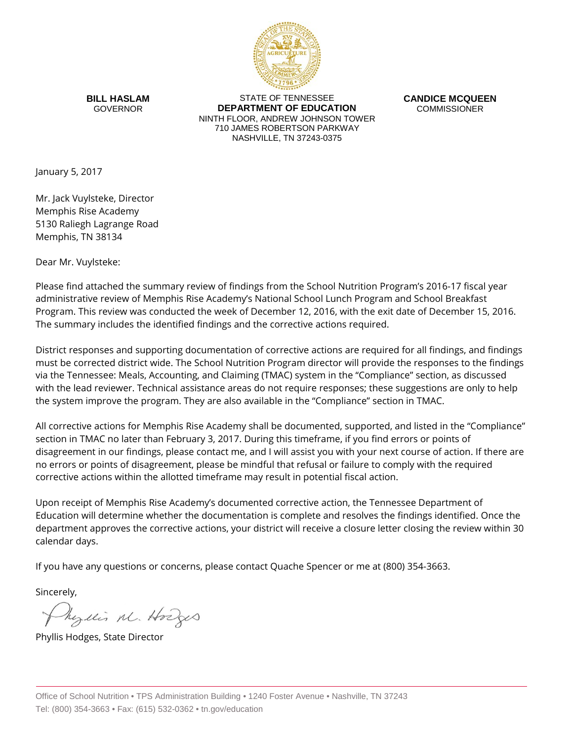

**BILL HASLAM** GOVERNOR

STATE OF TENNESSEE **DEPARTMENT OF EDUCATION** NINTH FLOOR, ANDREW JOHNSON TOWER 710 JAMES ROBERTSON PARKWAY NASHVILLE, TN 37243-0375

**CANDICE MCQUEEN** COMMISSIONER

January 5, 2017

Mr. Jack Vuylsteke, Director Memphis Rise Academy 5130 Raliegh Lagrange Road Memphis, TN 38134

Dear Mr. Vuylsteke:

Please find attached the summary review of findings from the School Nutrition Program's 2016-17 fiscal year administrative review of Memphis Rise Academy's National School Lunch Program and School Breakfast Program. This review was conducted the week of December 12, 2016, with the exit date of December 15, 2016. The summary includes the identified findings and the corrective actions required.

District responses and supporting documentation of corrective actions are required for all findings, and findings must be corrected district wide. The School Nutrition Program director will provide the responses to the findings via the Tennessee: Meals, Accounting, and Claiming (TMAC) system in the "Compliance" section, as discussed with the lead reviewer. Technical assistance areas do not require responses; these suggestions are only to help the system improve the program. They are also available in the "Compliance" section in TMAC.

All corrective actions for Memphis Rise Academy shall be documented, supported, and listed in the "Compliance" section in TMAC no later than February 3, 2017. During this timeframe, if you find errors or points of disagreement in our findings, please contact me, and I will assist you with your next course of action. If there are no errors or points of disagreement, please be mindful that refusal or failure to comply with the required corrective actions within the allotted timeframe may result in potential fiscal action.

Upon receipt of Memphis Rise Academy's documented corrective action, the Tennessee Department of Education will determine whether the documentation is complete and resolves the findings identified. Once the department approves the corrective actions, your district will receive a closure letter closing the review within 30 calendar days.

If you have any questions or concerns, please contact Quache Spencer or me at (800) 354-3663.

Sincerely,

Myllis M. Hodges

Phyllis Hodges, State Director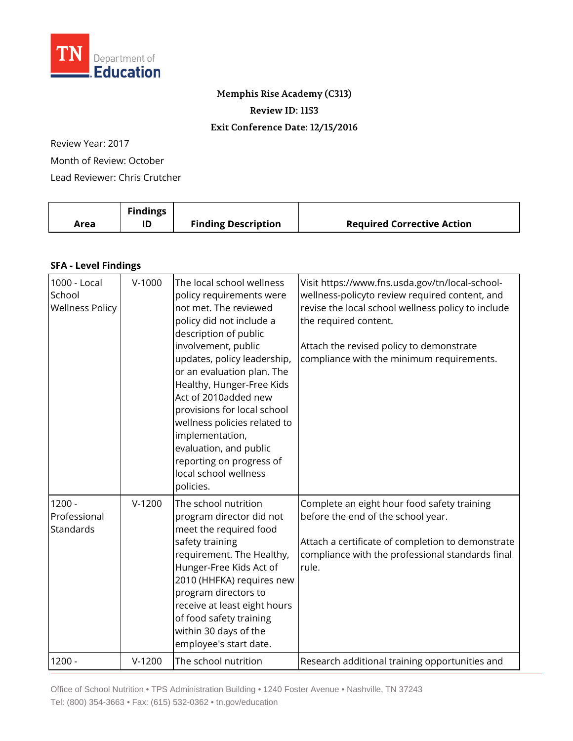

## **Memphis Rise Academy (C313)**

**Review ID: 1153**

## **Exit Conference Date: 12/15/2016**

Review Year: 2017

Month of Review: October

Lead Reviewer: Chris Crutcher

|      | <b>Findings</b> |                            |                                   |
|------|-----------------|----------------------------|-----------------------------------|
| Area | ID              | <b>Finding Description</b> | <b>Required Corrective Action</b> |

## **SFA - Level Findings**

| 1000 - Local<br>School<br><b>Wellness Policy</b> | $V-1000$ | The local school wellness<br>policy requirements were<br>not met. The reviewed<br>policy did not include a<br>description of public<br>involvement, public<br>updates, policy leadership,<br>or an evaluation plan. The<br>Healthy, Hunger-Free Kids<br>Act of 2010added new<br>provisions for local school<br>wellness policies related to<br>implementation,<br>evaluation, and public<br>reporting on progress of<br>local school wellness<br>policies. | Visit https://www.fns.usda.gov/tn/local-school-<br>wellness-policyto review required content, and<br>revise the local school wellness policy to include<br>the required content.<br>Attach the revised policy to demonstrate<br>compliance with the minimum requirements. |
|--------------------------------------------------|----------|------------------------------------------------------------------------------------------------------------------------------------------------------------------------------------------------------------------------------------------------------------------------------------------------------------------------------------------------------------------------------------------------------------------------------------------------------------|---------------------------------------------------------------------------------------------------------------------------------------------------------------------------------------------------------------------------------------------------------------------------|
| $1200 -$<br>Professional<br>Standards            | $V-1200$ | The school nutrition<br>program director did not<br>meet the required food<br>safety training<br>requirement. The Healthy,<br>Hunger-Free Kids Act of<br>2010 (HHFKA) requires new<br>program directors to<br>receive at least eight hours<br>of food safety training<br>within 30 days of the<br>employee's start date.                                                                                                                                   | Complete an eight hour food safety training<br>before the end of the school year.<br>Attach a certificate of completion to demonstrate<br>compliance with the professional standards final<br>rule.                                                                       |
| $1200 -$                                         | $V-1200$ | The school nutrition                                                                                                                                                                                                                                                                                                                                                                                                                                       | Research additional training opportunities and                                                                                                                                                                                                                            |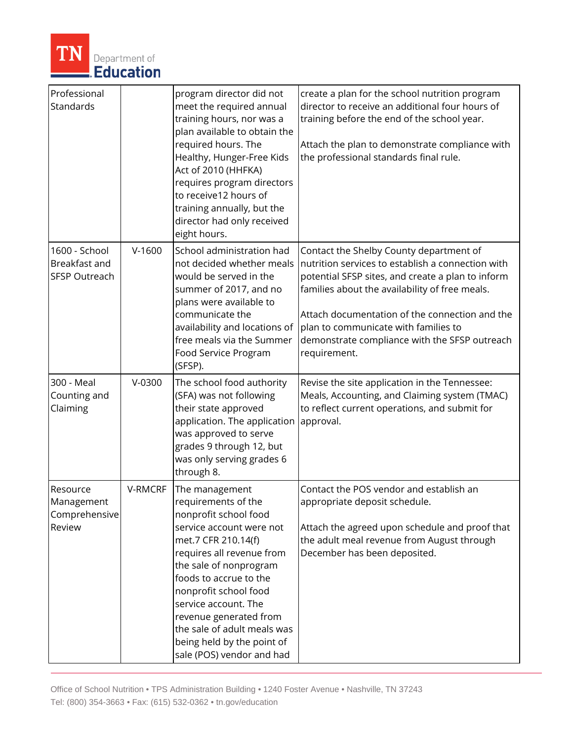

| Professional<br>Standards                              |          | program director did not<br>meet the required annual<br>training hours, nor was a<br>plan available to obtain the<br>required hours. The<br>Healthy, Hunger-Free Kids<br>Act of 2010 (HHFKA)<br>requires program directors<br>to receive12 hours of<br>training annually, but the<br>director had only received<br>eight hours.                                         | create a plan for the school nutrition program<br>director to receive an additional four hours of<br>training before the end of the school year.<br>Attach the plan to demonstrate compliance with<br>the professional standards final rule.                                                                                                                   |
|--------------------------------------------------------|----------|-------------------------------------------------------------------------------------------------------------------------------------------------------------------------------------------------------------------------------------------------------------------------------------------------------------------------------------------------------------------------|----------------------------------------------------------------------------------------------------------------------------------------------------------------------------------------------------------------------------------------------------------------------------------------------------------------------------------------------------------------|
| 1600 - School<br>Breakfast and<br><b>SFSP Outreach</b> | $V-1600$ | School administration had<br>not decided whether meals<br>would be served in the<br>summer of 2017, and no<br>plans were available to<br>communicate the<br>availability and locations of<br>free meals via the Summer<br>Food Service Program<br>(SFSP).                                                                                                               | Contact the Shelby County department of<br>nutrition services to establish a connection with<br>potential SFSP sites, and create a plan to inform<br>families about the availability of free meals.<br>Attach documentation of the connection and the<br>plan to communicate with families to<br>demonstrate compliance with the SFSP outreach<br>requirement. |
| 300 - Meal<br>Counting and<br>Claiming                 | $V-0300$ | The school food authority<br>(SFA) was not following<br>their state approved<br>application. The application<br>was approved to serve<br>grades 9 through 12, but<br>was only serving grades 6<br>through 8.                                                                                                                                                            | Revise the site application in the Tennessee:<br>Meals, Accounting, and Claiming system (TMAC)<br>to reflect current operations, and submit for<br>approval.                                                                                                                                                                                                   |
| Resource<br>Management<br>Comprehensive<br>Review      | V-RMCRF  | The management<br>requirements of the<br>nonprofit school food<br>service account were not<br>met.7 CFR 210.14(f)<br>requires all revenue from<br>the sale of nonprogram<br>foods to accrue to the<br>nonprofit school food<br>service account. The<br>revenue generated from<br>the sale of adult meals was<br>being held by the point of<br>sale (POS) vendor and had | Contact the POS vendor and establish an<br>appropriate deposit schedule.<br>Attach the agreed upon schedule and proof that<br>the adult meal revenue from August through<br>December has been deposited.                                                                                                                                                       |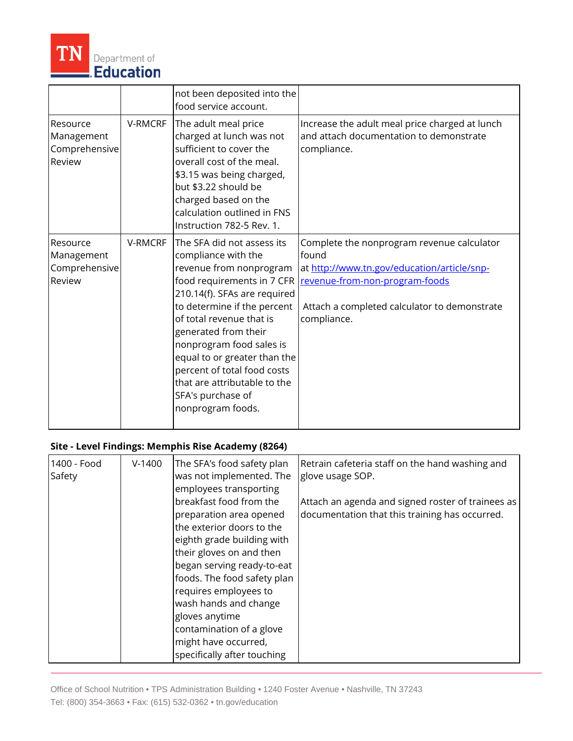

|                                                   |         | not been deposited into the<br>food service account.                                                                                                                                                                                                                                                                                                                                               |                                                                                                                                                                                                     |
|---------------------------------------------------|---------|----------------------------------------------------------------------------------------------------------------------------------------------------------------------------------------------------------------------------------------------------------------------------------------------------------------------------------------------------------------------------------------------------|-----------------------------------------------------------------------------------------------------------------------------------------------------------------------------------------------------|
| Resource<br>Management<br>Comprehensive<br>Review | V-RMCRF | The adult meal price<br>charged at lunch was not<br>sufficient to cover the<br>overall cost of the meal.<br>\$3.15 was being charged,<br>but \$3.22 should be<br>charged based on the<br>calculation outlined in FNS<br>Instruction 782-5 Rev. 1.                                                                                                                                                  | Increase the adult meal price charged at lunch<br>and attach documentation to demonstrate<br>compliance.                                                                                            |
| Resource<br>Management<br>Comprehensive<br>Review | V-RMCRF | The SFA did not assess its<br>compliance with the<br>revenue from nonprogram<br>food requirements in 7 CFR<br>210.14(f). SFAs are required<br>to determine if the percent<br>of total revenue that is<br>generated from their<br>nonprogram food sales is<br>equal to or greater than the<br>percent of total food costs<br>that are attributable to the<br>SFA's purchase of<br>nonprogram foods. | Complete the nonprogram revenue calculator<br>found<br>at http://www.tn.gov/education/article/snp-<br>revenue-from-non-program-foods<br>Attach a completed calculator to demonstrate<br>compliance. |

## **Site - Level Findings: Memphis Rise Academy (8264)**

| 1400 - Food<br>Safety | $V-1400$ | The SFA's food safety plan<br>was not implemented. The<br>employees transporting                                                                                                                                                                                                                                                                              | Retrain cafeteria staff on the hand washing and<br>glove usage SOP.                                 |
|-----------------------|----------|---------------------------------------------------------------------------------------------------------------------------------------------------------------------------------------------------------------------------------------------------------------------------------------------------------------------------------------------------------------|-----------------------------------------------------------------------------------------------------|
|                       |          | breakfast food from the<br>preparation area opened<br>the exterior doors to the<br>eighth grade building with<br>their gloves on and then<br>began serving ready-to-eat<br>foods. The food safety plan<br>requires employees to<br>wash hands and change<br>gloves anytime<br>contamination of a glove<br>might have occurred,<br>specifically after touching | Attach an agenda and signed roster of trainees as<br>documentation that this training has occurred. |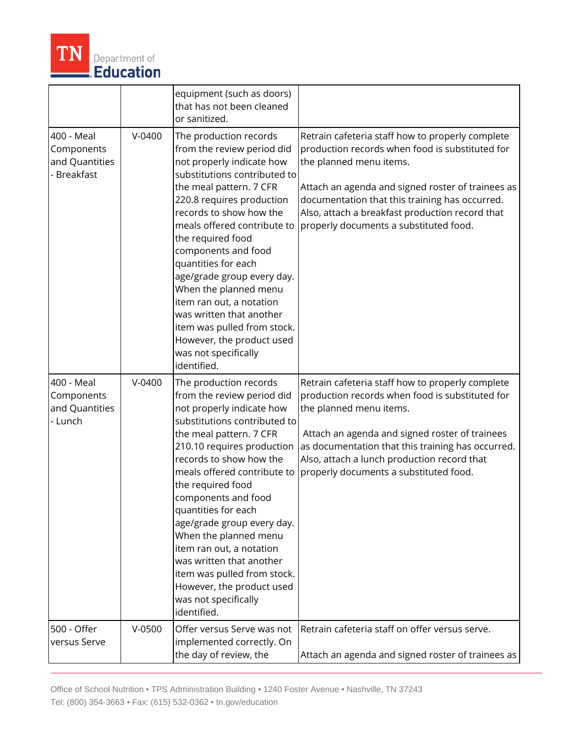

|                                                                |          | equipment (such as doors)<br>that has not been cleaned<br>or sanitized.                                                                                                                                                                                                                                                                                                                                                                                                                                                   |                                                                                                                                                                                                                                                                                                                                    |
|----------------------------------------------------------------|----------|---------------------------------------------------------------------------------------------------------------------------------------------------------------------------------------------------------------------------------------------------------------------------------------------------------------------------------------------------------------------------------------------------------------------------------------------------------------------------------------------------------------------------|------------------------------------------------------------------------------------------------------------------------------------------------------------------------------------------------------------------------------------------------------------------------------------------------------------------------------------|
| 400 - Meal<br>Components<br>and Quantities<br><b>Breakfast</b> | $V-0400$ | The production records<br>from the review period did<br>not properly indicate how<br>substitutions contributed to<br>the meal pattern. 7 CFR<br>220.8 requires production<br>records to show how the<br>meals offered contribute to<br>the required food<br>components and food<br>quantities for each<br>age/grade group every day.<br>When the planned menu<br>item ran out, a notation<br>was written that another<br>item was pulled from stock.<br>However, the product used<br>was not specifically<br>identified.  | Retrain cafeteria staff how to properly complete<br>production records when food is substituted for<br>the planned menu items.<br>Attach an agenda and signed roster of trainees as<br>documentation that this training has occurred.<br>Also, attach a breakfast production record that<br>properly documents a substituted food. |
| 400 - Meal<br>Components<br>and Quantities<br>- Lunch          | $V-0400$ | The production records<br>from the review period did<br>not properly indicate how<br>substitutions contributed to<br>the meal pattern. 7 CFR<br>210.10 requires production<br>records to show how the<br>meals offered contribute to<br>the required food<br>components and food<br>quantities for each<br>age/grade group every day.<br>When the planned menu<br>item ran out, a notation<br>was written that another<br>item was pulled from stock.<br>However, the product used<br>was not specifically<br>identified. | Retrain cafeteria staff how to properly complete<br>production records when food is substituted for<br>the planned menu items.<br>Attach an agenda and signed roster of trainees<br>as documentation that this training has occurred.<br>Also, attach a lunch production record that<br>properly documents a substituted food.     |
| 500 - Offer<br>versus Serve                                    | $V-0500$ | Offer versus Serve was not<br>implemented correctly. On<br>the day of review, the                                                                                                                                                                                                                                                                                                                                                                                                                                         | Retrain cafeteria staff on offer versus serve.<br>Attach an agenda and signed roster of trainees as                                                                                                                                                                                                                                |